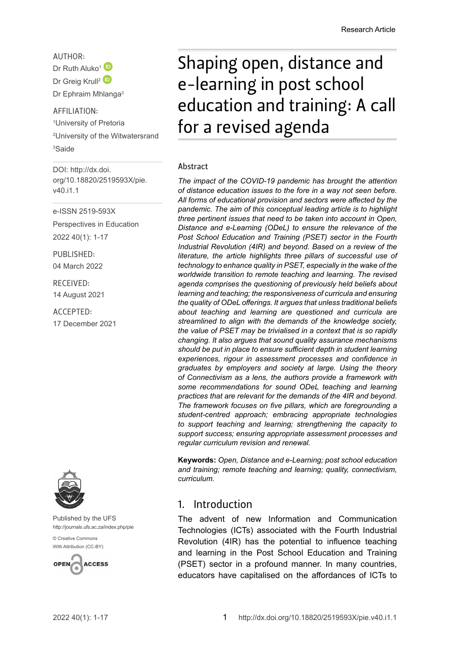AUTHOR: Dr Ruth Aluko<sup>1</sup> Dr Greig Krull<sup>2</sup> Dr Ephraim Mhlanga<sup>3</sup>

AFFILIATION:

1 University of Pretoria

2 University of the Witwatersrand  ${}^3$ Saide

DOI: [http://dx.doi.](http://dx.doi.org/10.18820/2519593X/pie.v40.i1.1) [org/10.18820/2519593X/p](http://dx.doi.org/10.18820/2519593X/pie.v40.i1.1)ie. v40.i1.1

e-ISSN 2519-593X

Perspectives in Education 2022 40(1): 1-17

PUBLISHED: 04 March 2022

RECEIVED: 14 August 2021

ACCEPTED:

17 December 2021



Published by the UFS [http://journals.ufs.ac.za/index.php/pie](http://www.statssa.gov.za/?p=11341)

[© Creative Commons](http://documents.worldbank.org/curated/en/530481521735906534/Overcoming-Poverty-and-Inequality-in-South-Africa-An-Assessment-of-Drivers-Constraints-and-Opportunities)  [With Attribution \(CC-BY\)](http://documents.worldbank.org/curated/en/530481521735906534/Overcoming-Poverty-and-Inequality-in-South-Africa-An-Assessment-of-Drivers-Constraints-and-Opportunities)



# Shaping open, distance and e-learning in post school education and training: A call for a revised agenda

#### Abstract

*The impact of the COVID-19 pandemic has brought the attention of distance education issues to the fore in a way not seen before. All forms of educational provision and sectors were affected by the pandemic. The aim of this conceptual leading article is to highlight three pertinent issues that need to be taken into account in Open, Distance and e-Learning (ODeL) to ensure the relevance of the Post School Education and Training (PSET) sector in the Fourth Industrial Revolution (4IR) and beyond. Based on a review of the literature, the article highlights three pillars of successful use of technology to enhance quality in PSET, especially in the wake of the worldwide transition to remote teaching and learning. The revised agenda comprises the questioning of previously held beliefs about learning and teaching; the responsiveness of curricula and ensuring the quality of ODeL offerings. It argues that unless traditional beliefs about teaching and learning are questioned and curricula are streamlined to align with the demands of the knowledge society, the value of PSET may be trivialised in a context that is so rapidly changing. It also argues that sound quality assurance mechanisms should be put in place to ensure sufficient depth in student learning experiences, rigour in assessment processes and confidence in graduates by employers and society at large. Using the theory of Connectivism as a lens, the authors provide a framework with some recommendations for sound ODeL teaching and learning practices that are relevant for the demands of the 4IR and beyond. The framework focuses on five pillars, which are foregrounding a student-centred approach; embracing appropriate technologies to support teaching and learning; strengthening the capacity to support success; ensuring appropriate assessment processes and regular curriculum revision and renewal.* 

**Keywords:** *Open, Distance and e-Learning; post school education and training; remote teaching and learning; quality, connectivism, curriculum.*

## 1. Introduction

The advent of new Information and Communication Technologies (ICTs) associated with the Fourth Industrial Revolution (4IR) has the potential to influence teaching and learning in the Post School Education and Training (PSET) sector in a profound manner. In many countries, educators have capitalised on the affordances of ICTs to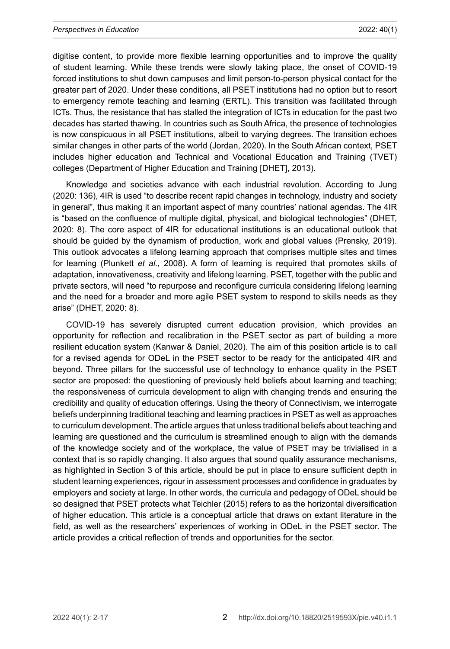digitise content, to provide more flexible learning opportunities and to improve the quality of student learning. While these trends were slowly taking place, the onset of COVID-19 forced institutions to shut down campuses and limit person-to-person physical contact for the greater part of 2020. Under these conditions, all PSET institutions had no option but to resort to emergency remote teaching and learning (ERTL). This transition was facilitated through ICTs. Thus, the resistance that has stalled the integration of ICTs in education for the past two decades has started thawing. In countries such as South Africa, the presence of technologies is now conspicuous in all PSET institutions, albeit to varying degrees. The transition echoes similar changes in other parts of the world (Jordan, 2020). In the South African context, PSET includes higher education and Technical and Vocational Education and Training (TVET) colleges (Department of Higher Education and Training [DHET], 2013).

Knowledge and societies advance with each industrial revolution. According to Jung (2020: 136), 4IR is used "to describe recent rapid changes in technology, industry and society in general", thus making it an important aspect of many countries' national agendas. The 4IR is "based on the confluence of multiple digital, physical, and biological technologies" (DHET, 2020: 8). The core aspect of 4IR for educational institutions is an educational outlook that should be guided by the dynamism of production, work and global values (Prensky, 2019). This outlook advocates a lifelong learning approach that comprises multiple sites and times for learning (Plunkett *et al.,* 2008). A form of learning is required that promotes skills of adaptation, innovativeness, creativity and lifelong learning. PSET, together with the public and private sectors, will need "to repurpose and reconfigure curricula considering lifelong learning and the need for a broader and more agile PSET system to respond to skills needs as they arise" (DHET, 2020: 8).

COVID-19 has severely disrupted current education provision, which provides an opportunity for reflection and recalibration in the PSET sector as part of building a more resilient education system (Kanwar & Daniel, 2020). The aim of this position article is to call for a revised agenda for ODeL in the PSET sector to be ready for the anticipated 4IR and beyond. Three pillars for the successful use of technology to enhance quality in the PSET sector are proposed: the questioning of previously held beliefs about learning and teaching; the responsiveness of curricula development to align with changing trends and ensuring the credibility and quality of education offerings. Using the theory of Connectivism, we interrogate beliefs underpinning traditional teaching and learning practices in PSET as well as approaches to curriculum development. The article argues that unless traditional beliefs about teaching and learning are questioned and the curriculum is streamlined enough to align with the demands of the knowledge society and of the workplace, the value of PSET may be trivialised in a context that is so rapidly changing. It also argues that sound quality assurance mechanisms, as highlighted in Section 3 of this article, should be put in place to ensure sufficient depth in student learning experiences, rigour in assessment processes and confidence in graduates by employers and society at large. In other words, the curricula and pedagogy of ODeL should be so designed that PSET protects what [Teichler](https://www.researchgate.net/profile/Ulrich_Teichler) (2015) refers to as the horizontal diversification of higher education. This article is a conceptual article that draws on extant literature in the field, as well as the researchers' experiences of working in ODeL in the PSET sector. The article provides a critical reflection of trends and opportunities for the sector.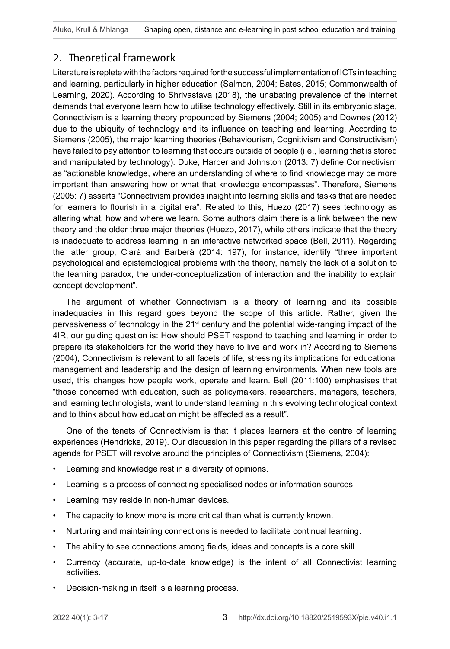Aluko, Krull & Mhlanga Shaping open, distance and e-learning in post school education and training

## 2. Theoretical framework

Literature is replete with the factors required for the successful implementation of ICTs in teaching and learning, particularly in higher education (Salmon, 2004; Bates, 2015; Commonwealth of Learning, 2020). According to Shrivastava (2018), the unabating prevalence of the internet demands that everyone learn how to utilise technology effectively. Still in its embryonic stage, Connectivism is a learning theory propounded by Siemens (2004; 2005) and Downes (2012) due to the ubiquity of technology and its influence on teaching and learning. According to Siemens (2005), the major learning theories (Behaviourism, Cognitivism and Constructivism) have failed to pay attention to learning that occurs outside of people (i.e., learning that is stored and manipulated by technology). Duke, Harper and Johnston (2013: 7) define Connectivism as "actionable knowledge, where an understanding of where to find knowledge may be more important than answering how or what that knowledge encompasses". Therefore, Siemens (2005: 7) asserts "Connectivism provides insight into learning skills and tasks that are needed for learners to flourish in a digital era". Related to this, Huezo (2017) sees technology as altering what, how and where we learn. Some authors claim there is a link between the new theory and the older three major theories (Huezo, 2017), while others indicate that the theory is inadequate to address learning in an interactive networked space (Bell, 2011). Regarding the latter group, Clarà and Barberà (2014: 197), for instance, identify "three important psychological and epistemological problems with the theory, namely the lack of a solution to the learning paradox, the under-conceptualization of interaction and the inability to explain concept development".

The argument of whether Connectivism is a theory of learning and its possible inadequacies in this regard goes beyond the scope of this article. Rather, given the pervasiveness of technology in the  $21<sup>st</sup>$  century and the potential wide-ranging impact of the 4IR, our guiding question is: How should PSET respond to teaching and learning in order to prepare its stakeholders for the world they have to live and work in? According to Siemens (2004), Connectivism is relevant to all facets of life, stressing its implications for educational management and leadership and the design of learning environments. When new tools are used, this changes how people work, operate and learn. Bell (2011:100) emphasises that "those concerned with education, such as policymakers, researchers, managers, teachers, and learning technologists, want to understand learning in this evolving technological context and to think about how education might be affected as a result".

One of the tenets of Connectivism is that it places learners at the centre of learning experiences (Hendricks, 2019). Our discussion in this paper regarding the pillars of a revised agenda for PSET will revolve around the principles of Connectivism (Siemens, 2004):

- Learning and knowledge rest in a diversity of opinions.
- Learning is a process of connecting specialised nodes or information sources.
- Learning may reside in non-human devices.
- The capacity to know more is more critical than what is currently known.
- Nurturing and maintaining connections is needed to facilitate continual learning.
- The ability to see connections among fields, ideas and concepts is a core skill.
- Currency (accurate, up-to-date knowledge) is the intent of all Connectivist learning activities.
- Decision-making in itself is a learning process.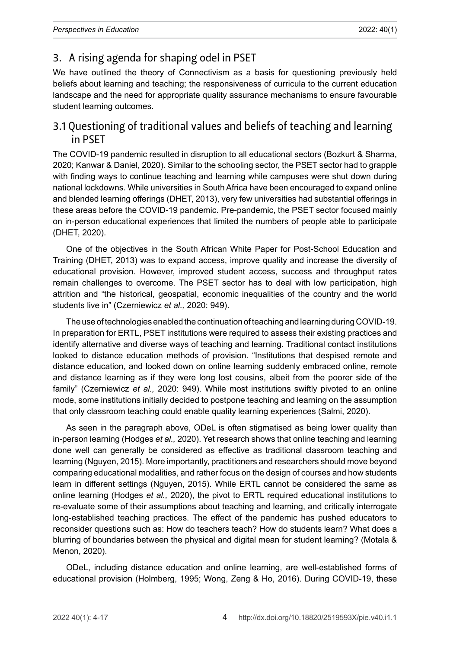# 3. A rising agenda for shaping odel in PSET

We have outlined the theory of Connectivism as a basis for questioning previously held beliefs about learning and teaching; the responsiveness of curricula to the current education landscape and the need for appropriate quality assurance mechanisms to ensure favourable student learning outcomes.

## 3.1 Questioning of traditional values and beliefs of teaching and learning in PSET

The COVID-19 pandemic resulted in disruption to all educational sectors (Bozkurt & Sharma, 2020; Kanwar & Daniel, 2020). Similar to the schooling sector, the PSET sector had to grapple with finding ways to continue teaching and learning while campuses were shut down during national lockdowns. While universities in South Africa have been encouraged to expand online and blended learning offerings (DHET, 2013), very few universities had substantial offerings in these areas before the COVID-19 pandemic. Pre-pandemic, the PSET sector focused mainly on in-person educational experiences that limited the numbers of people able to participate (DHET, 2020).

One of the objectives in the South African White Paper for Post-School Education and Training (DHET, 2013) was to expand access, improve quality and increase the diversity of educational provision. However, improved student access, success and throughput rates remain challenges to overcome. The PSET sector has to deal with low participation, high attrition and "the historical, geospatial, economic inequalities of the country and the world students live in" (Czerniewicz *et al.,* 2020: 949).

The use of technologies enabled the continuation of teaching and learning during COVID-19. In preparation for ERTL, PSET institutions were required to assess their existing practices and identify alternative and diverse ways of teaching and learning. Traditional contact institutions looked to distance education methods of provision. "Institutions that despised remote and distance education, and looked down on online learning suddenly embraced online, remote and distance learning as if they were long lost cousins, albeit from the poorer side of the family" (Czerniewicz *et al.,* 2020: 949). While most institutions swiftly pivoted to an online mode, some institutions initially decided to postpone teaching and learning on the assumption that only classroom teaching could enable quality learning experiences (Salmi, 2020).

As seen in the paragraph above, ODeL is often stigmatised as being lower quality than in-person learning (Hodges *et al.,* 2020). Yet research shows that online teaching and learning done well can generally be considered as effective as traditional classroom teaching and learning (Nguyen, 2015). More importantly, practitioners and researchers should move beyond comparing educational modalities, and rather focus on the design of courses and how students learn in different settings (Nguyen, 2015). While ERTL cannot be considered the same as online learning (Hodges *et al.,* 2020), the pivot to ERTL required educational institutions to re-evaluate some of their assumptions about teaching and learning, and critically interrogate long-established teaching practices. The effect of the pandemic has pushed educators to reconsider questions such as: How do teachers teach? How do students learn? What does a blurring of boundaries between the physical and digital mean for student learning? (Motala & Menon, 2020).

ODeL, including distance education and online learning, are well-established forms of educational provision (Holmberg, 1995; Wong, Zeng & Ho, 2016). During COVID-19, these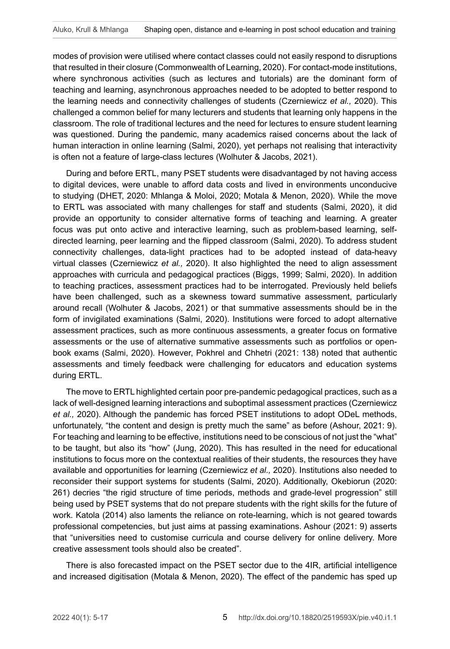modes of provision were utilised where contact classes could not easily respond to disruptions that resulted in their closure (Commonwealth of Learning, 2020). For contact-mode institutions, where synchronous activities (such as lectures and tutorials) are the dominant form of teaching and learning, asynchronous approaches needed to be adopted to better respond to the learning needs and connectivity challenges of students (Czerniewicz *et al.,* 2020). This challenged a common belief for many lecturers and students that learning only happens in the classroom. The role of traditional lectures and the need for lectures to ensure student learning was questioned. During the pandemic, many academics raised concerns about the lack of human interaction in online learning (Salmi, 2020), yet perhaps not realising that interactivity is often not a feature of large-class lectures (Wolhuter & Jacobs, 2021).

During and before ERTL, many PSET students were disadvantaged by not having access to digital devices, were unable to afford data costs and lived in environments unconducive to studying (DHET, 2020: Mhlanga & Moloi, 2020; Motala & Menon, 2020). While the move to ERTL was associated with many challenges for staff and students (Salmi, 2020), it did provide an opportunity to consider alternative forms of teaching and learning. A greater focus was put onto active and interactive learning, such as problem-based learning, selfdirected learning, peer learning and the flipped classroom (Salmi, 2020). To address student connectivity challenges, data-light practices had to be adopted instead of data-heavy virtual classes (Czerniewicz *et al.,* 2020). It also highlighted the need to align assessment approaches with curricula and pedagogical practices (Biggs, 1999; Salmi, 2020). In addition to teaching practices, assessment practices had to be interrogated. Previously held beliefs have been challenged, such as a skewness toward summative assessment, particularly around recall (Wolhuter & Jacobs, 2021) or that summative assessments should be in the form of invigilated examinations (Salmi, 2020). Institutions were forced to adopt alternative assessment practices, such as more continuous assessments, a greater focus on formative assessments or the use of alternative summative assessments such as portfolios or openbook exams (Salmi, 2020). However, Pokhrel and Chhetri (2021: 138) noted that authentic assessments and timely feedback were challenging for educators and education systems during ERTL.

The move to ERTL highlighted certain poor pre-pandemic pedagogical practices, such as a lack of well-designed learning interactions and suboptimal assessment practices (Czerniewicz *et al.,* 2020). Although the pandemic has forced PSET institutions to adopt ODeL methods, unfortunately, "the content and design is pretty much the same" as before (Ashour, 2021: 9). For teaching and learning to be effective, institutions need to be conscious of not just the "what" to be taught, but also its "how" (Jung, 2020). This has resulted in the need for educational institutions to focus more on the contextual realities of their students, the resources they have available and opportunities for learning (Czerniewicz *et al.,* 2020). Institutions also needed to reconsider their support systems for students (Salmi, 2020). Additionally, Okebiorun (2020: 261) decries "the rigid structure of time periods, methods and grade-level progression" still being used by PSET systems that do not prepare students with the right skills for the future of work. Katola (2014) also laments the reliance on rote-learning, which is not geared towards professional competencies, but just aims at passing examinations. Ashour (2021: 9) asserts that "universities need to customise curricula and course delivery for online delivery. More creative assessment tools should also be created".

There is also forecasted impact on the PSET sector due to the 4IR, artificial intelligence and increased digitisation (Motala & Menon, 2020). The effect of the pandemic has sped up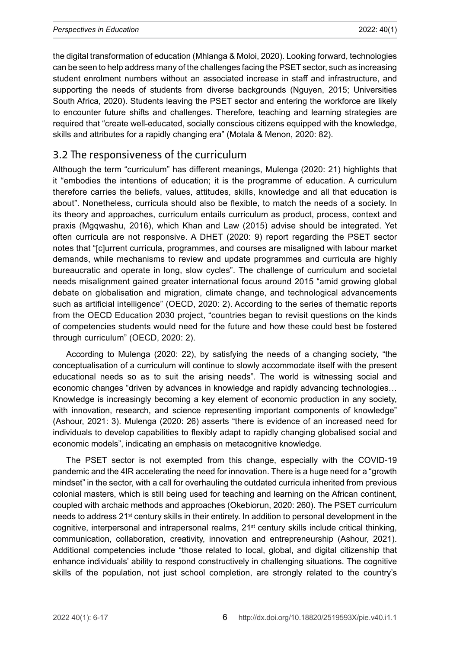the digital transformation of education (Mhlanga & Moloi, 2020). Looking forward, technologies can be seen to help address many of the challenges facing the PSET sector, such as increasing student enrolment numbers without an associated increase in staff and infrastructure, and supporting the needs of students from diverse backgrounds (Nguyen, 2015; Universities South Africa, 2020). Students leaving the PSET sector and entering the workforce are likely to encounter future shifts and challenges. Therefore, teaching and learning strategies are required that "create well-educated, socially conscious citizens equipped with the knowledge, skills and attributes for a rapidly changing era" (Motala & Menon, 2020: 82).

## 3.2 The responsiveness of the curriculum

Although the term "curriculum" has different meanings, Mulenga (2020: 21) highlights that it "embodies the intentions of education; it is the programme of education. A curriculum therefore carries the beliefs, values, attitudes, skills, knowledge and all that education is about". Nonetheless, curricula should also be flexible, to match the needs of a society. In its theory and approaches, curriculum entails curriculum as product, process, context and praxis (Mgqwashu, 2016), which Khan and Law (2015) advise should be integrated. Yet often curricula are not responsive. A DHET (2020: 9) report regarding the PSET sector notes that "[c]urrent curricula, programmes, and courses are misaligned with labour market demands, while mechanisms to review and update programmes and curricula are highly bureaucratic and operate in long, slow cycles". The challenge of curriculum and societal needs misalignment gained greater international focus around 2015 "amid growing global debate on globalisation and migration, climate change, and technological advancements such as artificial intelligence" (OECD, 2020: 2). According to the series of thematic reports from the OECD Education 2030 project, "countries began to revisit questions on the kinds of competencies students would need for the future and how these could best be fostered through curriculum" (OECD, 2020: 2).

According to Mulenga (2020: 22), by satisfying the needs of a changing society, "the conceptualisation of a curriculum will continue to slowly accommodate itself with the present educational needs so as to suit the arising needs". The world is witnessing social and economic changes "driven by advances in knowledge and rapidly advancing technologies… Knowledge is increasingly becoming a key element of economic production in any society, with innovation, research, and science representing important components of knowledge" (Ashour, 2021: 3). Mulenga (2020: 26) asserts "there is evidence of an increased need for individuals to develop capabilities to flexibly adapt to rapidly changing globalised social and economic models", indicating an emphasis on metacognitive knowledge.

The PSET sector is not exempted from this change, especially with the COVID-19 pandemic and the 4IR accelerating the need for innovation. There is a huge need for a "growth mindset" in the sector, with a call for overhauling the outdated curricula inherited from previous colonial masters, which is still being used for teaching and learning on the African continent, coupled with archaic methods and approaches (Okebiorun, 2020: 260). The PSET curriculum needs to address 21<sup>st</sup> century skills in their entirety. In addition to personal development in the cognitive, interpersonal and intrapersonal realms, 21<sup>st</sup> century skills include critical thinking, communication, collaboration, creativity, innovation and entrepreneurship (Ashour, 2021). Additional competencies include "those related to local, global, and digital citizenship that enhance individuals' ability to respond constructively in challenging situations. The cognitive skills of the population, not just school completion, are strongly related to the country's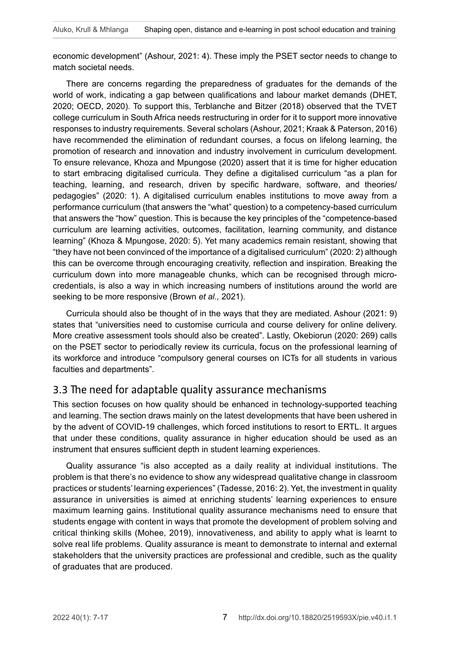economic development" (Ashour, 2021: 4). These imply the PSET sector needs to change to match societal needs.

There are concerns regarding the preparedness of graduates for the demands of the world of work, indicating a gap between qualifications and labour market demands (DHET, 2020; OECD, 2020). To support this, Terblanche and Bitzer (2018) observed that the TVET college curriculum in South Africa needs restructuring in order for it to support more innovative responses to industry requirements. Several scholars (Ashour, 2021; Kraak & Paterson, 2016) have recommended the elimination of redundant courses, a focus on lifelong learning, the promotion of research and innovation and industry involvement in curriculum development. To ensure relevance, Khoza and Mpungose (2020) assert that it is time for higher education to start embracing digitalised curricula. They define a digitalised curriculum "as a plan for teaching, learning, and research, driven by specific hardware, software, and theories/ pedagogies" (2020: 1). A digitalised curriculum enables institutions to move away from a performance curriculum (that answers the "what" question) to a competency-based curriculum that answers the "how" question. This is because the key principles of the "competence-based curriculum are learning activities, outcomes, facilitation, learning community, and distance learning" (Khoza & Mpungose, 2020: 5). Yet many academics remain resistant, showing that "they have not been convinced of the importance of a digitalised curriculum" (2020: 2) although this can be overcome through encouraging creativity, reflection and inspiration. Breaking the curriculum down into more manageable chunks, which can be recognised through microcredentials, is also a way in which increasing numbers of institutions around the world are seeking to be more responsive (Brown *et al.,* 2021).

Curricula should also be thought of in the ways that they are mediated. Ashour (2021: 9) states that "universities need to customise curricula and course delivery for online delivery. More creative assessment tools should also be created". Lastly, Okebiorun (2020: 269) calls on the PSET sector to periodically review its curricula, focus on the professional learning of its workforce and introduce "compulsory general courses on ICTs for all students in various faculties and departments".

## 3.3 The need for adaptable quality assurance mechanisms

This section focuses on how quality should be enhanced in technology-supported teaching and learning. The section draws mainly on the latest developments that have been ushered in by the advent of COVID-19 challenges, which forced institutions to resort to ERTL. It argues that under these conditions, quality assurance in higher education should be used as an instrument that ensures sufficient depth in student learning experiences.

Quality assurance "is also accepted as a daily reality at individual institutions. The problem is that there's no evidence to show any widespread qualitative change in classroom practices or students' learning experiences" (Tadesse, 2016: 2). Yet, the investment in quality assurance in universities is aimed at enriching students' learning experiences to ensure maximum learning gains. Institutional quality assurance mechanisms need to ensure that students engage with content in ways that promote the development of problem solving and critical thinking skills (Mohee, 2019), innovativeness, and ability to apply what is learnt to solve real life problems. Quality assurance is meant to demonstrate to internal and external stakeholders that the university practices are professional and credible, such as the quality of graduates that are produced.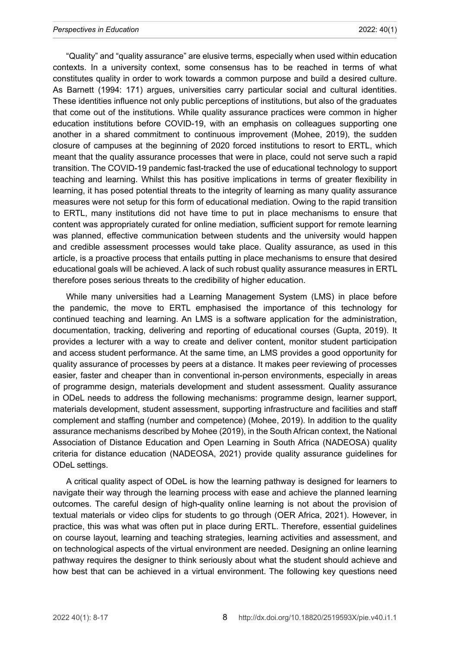"Quality" and "quality assurance" are elusive terms, especially when used within education contexts. In a university context, some consensus has to be reached in terms of what constitutes quality in order to work towards a common purpose and build a desired culture. As Barnett (1994: 171) argues, universities carry particular social and cultural identities. These identities influence not only public perceptions of institutions, but also of the graduates that come out of the institutions. While quality assurance practices were common in higher education institutions before COVID-19, with an emphasis on colleagues supporting one another in a shared commitment to continuous improvement (Mohee, 2019), the sudden closure of campuses at the beginning of 2020 forced institutions to resort to ERTL, which meant that the quality assurance processes that were in place, could not serve such a rapid transition. The COVID-19 pandemic fast-tracked the use of educational technology to support teaching and learning. Whilst this has positive implications in terms of greater flexibility in learning, it has posed potential threats to the integrity of learning as many quality assurance measures were not setup for this form of educational mediation. Owing to the rapid transition to ERTL, many institutions did not have time to put in place mechanisms to ensure that content was appropriately curated for online mediation, sufficient support for remote learning was planned, effective communication between students and the university would happen and credible assessment processes would take place. Quality assurance, as used in this article, is a proactive process that entails putting in place mechanisms to ensure that desired educational goals will be achieved. A lack of such robust quality assurance measures in ERTL therefore poses serious threats to the credibility of higher education.

While many universities had a Learning Management System (LMS) in place before the pandemic, the move to ERTL emphasised the importance of this technology for continued teaching and learning. An LMS is a software application for the administration, documentation, tracking, delivering and reporting of educational courses (Gupta, 2019). It provides a lecturer with a way to create and deliver content, monitor student participation and access student performance. At the same time, an LMS provides a good opportunity for quality assurance of processes by peers at a distance. It makes peer reviewing of processes easier, faster and cheaper than in conventional in-person environments, especially in areas of programme design, materials development and student assessment. Quality assurance in ODeL needs to address the following mechanisms: programme design, learner support, materials development, student assessment, supporting infrastructure and facilities and staff complement and staffing (number and competence) (Mohee, 2019). In addition to the quality assurance mechanisms described by Mohee (2019), in the South African context, the National Association of Distance Education and Open Learning in South Africa (NADEOSA) quality criteria for distance education (NADEOSA, 2021) provide quality assurance guidelines for ODeL settings.

A critical quality aspect of ODeL is how the learning pathway is designed for learners to navigate their way through the learning process with ease and achieve the planned learning outcomes. The careful design of high-quality online learning is not about the provision of textual materials or video clips for students to go through (OER Africa, 2021). However, in practice, this was what was often put in place during ERTL. Therefore, essential guidelines on course layout, learning and teaching strategies, learning activities and assessment, and on technological aspects of the virtual environment are needed. Designing an online learning pathway requires the designer to think seriously about what the student should achieve and how best that can be achieved in a virtual environment. The following key questions need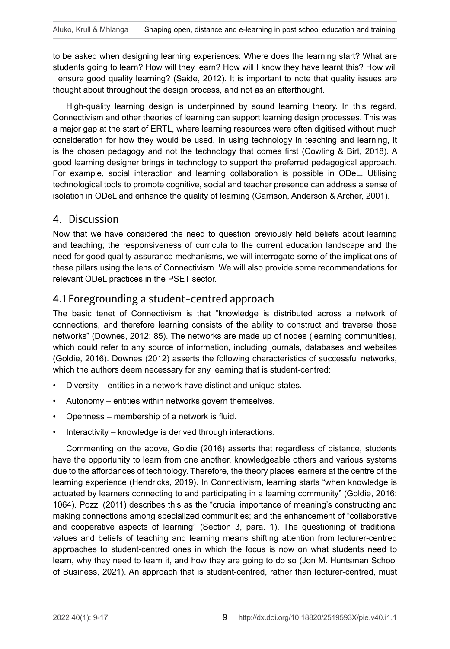to be asked when designing learning experiences: Where does the learning start? What are students going to learn? How will they learn? How will I know they have learnt this? How will I ensure good quality learning? (Saide, 2012). It is important to note that quality issues are thought about throughout the design process, and not as an afterthought.

High-quality learning design is underpinned by sound learning theory. In this regard, Connectivism and other theories of learning can support learning design processes. This was a major gap at the start of ERTL, where learning resources were often digitised without much consideration for how they would be used. In using technology in teaching and learning, it is the chosen pedagogy and not the technology that comes first (Cowling & Birt, 2018). A good learning designer brings in technology to support the preferred pedagogical approach. For example, social interaction and learning collaboration is possible in ODeL. Utilising technological tools to promote cognitive, social and teacher presence can address a sense of isolation in ODeL and enhance the quality of learning (Garrison, Anderson & Archer, 2001).

#### 4. Discussion

Now that we have considered the need to question previously held beliefs about learning and teaching; the responsiveness of curricula to the current education landscape and the need for good quality assurance mechanisms, we will interrogate some of the implications of these pillars using the lens of Connectivism. We will also provide some recommendations for relevant ODeL practices in the PSET sector.

## 4.1 Foregrounding a student-centred approach

The basic tenet of Connectivism is that "knowledge is distributed across a network of connections, and therefore learning consists of the ability to construct and traverse those networks" (Downes, 2012: 85). The networks are made up of nodes (learning communities), which could refer to any source of information, including journals, databases and websites (Goldie, 2016). Downes (2012) asserts the following characteristics of successful networks, which the authors deem necessary for any learning that is student-centred:

- Diversity entities in a network have distinct and unique states.
- Autonomy entities within networks govern themselves.
- Openness membership of a network is fluid.
- Interactivity knowledge is derived through interactions.

Commenting on the above, Goldie (2016) asserts that regardless of distance, students have the opportunity to learn from one another, knowledgeable others and various systems due to the affordances of technology. Therefore, the theory places learners at the centre of the learning experience (Hendricks, 2019). In Connectivism, learning starts "when knowledge is actuated by learners connecting to and participating in a learning community" (Goldie, 2016: 1064). Pozzi (2011) describes this as the "crucial importance of meaning's constructing and making connections among specialized communities; and the enhancement of "collaborative and cooperative aspects of learning" (Section 3, para. 1). The questioning of traditional values and beliefs of teaching and learning means shifting attention from lecturer-centred approaches to student-centred ones in which the focus is now on what students need to learn, why they need to learn it, and how they are going to do so (Jon M. Huntsman School of Business, 2021). An approach that is student-centred, rather than lecturer-centred, must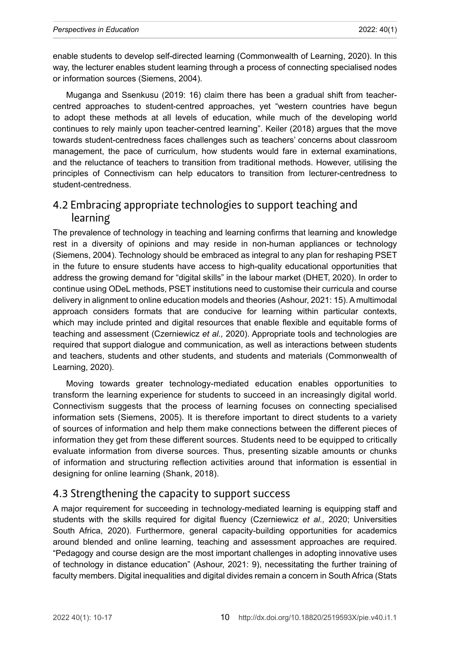enable students to develop self-directed learning (Commonwealth of Learning, 2020). In this way, the lecturer enables student learning through a process of connecting specialised nodes or information sources (Siemens, 2004).

Muganga and Ssenkusu (2019: 16) claim there has been a gradual shift from teachercentred approaches to student-centred approaches, yet "western countries have begun to adopt these methods at all levels of education, while much of the developing world continues to rely mainly upon teacher-centred learning". Keiler (2018) argues that the move towards student-centredness faces challenges such as teachers' concerns about classroom management, the pace of curriculum, how students would fare in external examinations, and the reluctance of teachers to transition from traditional methods. However, utilising the principles of Connectivism can help educators to transition from lecturer-centredness to student-centredness.

## 4.2 Embracing appropriate technologies to support teaching and learning

The prevalence of technology in teaching and learning confirms that learning and knowledge rest in a diversity of opinions and may reside in non-human appliances or technology (Siemens, 2004). Technology should be embraced as integral to any plan for reshaping PSET in the future to ensure students have access to high-quality educational opportunities that address the growing demand for "digital skills" in the labour market (DHET, 2020). In order to continue using ODeL methods, PSET institutions need to customise their curricula and course delivery in alignment to online education models and theories (Ashour, 2021: 15). A multimodal approach considers formats that are conducive for learning within particular contexts, which may include printed and digital resources that enable flexible and equitable forms of teaching and assessment (Czerniewicz *et al.,* 2020). Appropriate tools and technologies are required that support dialogue and communication, as well as interactions between students and teachers, students and other students, and students and materials (Commonwealth of Learning, 2020).

Moving towards greater technology-mediated education enables opportunities to transform the learning experience for students to succeed in an increasingly digital world. Connectivism suggests that the process of learning focuses on connecting specialised information sets (Siemens, 2005). It is therefore important to direct students to a variety of sources of information and help them make connections between the different pieces of information they get from these different sources. Students need to be equipped to critically evaluate information from diverse sources. Thus, presenting sizable amounts or chunks of information and structuring reflection activities around that information is essential in designing for online learning (Shank, 2018).

## 4.3 Strengthening the capacity to support success

A major requirement for succeeding in technology-mediated learning is equipping staff and students with the skills required for digital fluency (Czerniewicz *et al.,* 2020; Universities South Africa, 2020). Furthermore, general capacity-building opportunities for academics around blended and online learning, teaching and assessment approaches are required. "Pedagogy and course design are the most important challenges in adopting innovative uses of technology in distance education" (Ashour, 2021: 9), necessitating the further training of faculty members. Digital inequalities and digital divides remain a concern in South Africa (Stats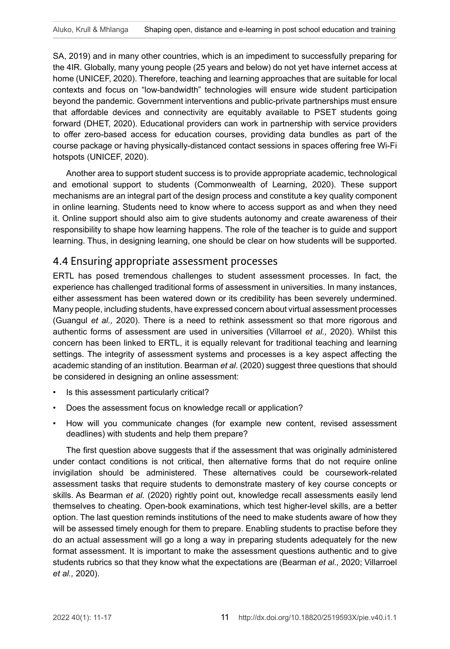SA, 2019) and in many other countries, which is an impediment to successfully preparing for the 4IR. Globally, many young people (25 years and below) do not yet have internet access at home (UNICEF, 2020). Therefore, teaching and learning approaches that are suitable for local contexts and focus on "low-bandwidth" technologies will ensure wide student participation beyond the pandemic. Government interventions and public-private partnerships must ensure that affordable devices and connectivity are equitably available to PSET students going forward (DHET, 2020). Educational providers can work in partnership with service providers to offer zero-based access for education courses, providing data bundles as part of the course package or having physically-distanced contact sessions in spaces offering free Wi-Fi hotspots (UNICEF, 2020).

Another area to support student success is to provide appropriate academic, technological and emotional support to students (Commonwealth of Learning, 2020). These support mechanisms are an integral part of the design process and constitute a key quality component in online learning. Students need to know where to access support as and when they need it. Online support should also aim to give students autonomy and create awareness of their responsibility to shape how learning happens. The role of the teacher is to guide and support learning. Thus, in designing learning, one should be clear on how students will be supported.

### 4.4 Ensuring appropriate assessment processes

ERTL has posed tremendous challenges to student assessment processes. In fact, the experience has challenged traditional forms of assessment in universities. In many instances, either assessment has been watered down or its credibility has been severely undermined. Many people, including students, have expressed concern about virtual assessment processes (Guangul *et al.,* 2020). There is a need to rethink assessment so that more rigorous and authentic forms of assessment are used in universities (Villarroel *et al.,* 2020). Whilst this concern has been linked to ERTL, it is equally relevant for traditional teaching and learning settings. The integrity of assessment systems and processes is a key aspect affecting the academic standing of an institution. Bearman *et al.* (2020) suggest three questions that should be considered in designing an online assessment:

- Is this assessment particularly critical?
- Does the assessment focus on knowledge recall or application?
- How will you communicate changes (for example new content, revised assessment deadlines) with students and help them prepare?

The first question above suggests that if the assessment that was originally administered under contact conditions is not critical, then alternative forms that do not require online invigilation should be administered. These alternatives could be coursework-related assessment tasks that require students to demonstrate mastery of key course concepts or skills. As Bearman *et al.* (2020) rightly point out, knowledge recall assessments easily lend themselves to cheating. Open-book examinations, which test higher-level skills, are a better option. The last question reminds institutions of the need to make students aware of how they will be assessed timely enough for them to prepare. Enabling students to practise before they do an actual assessment will go a long a way in preparing students adequately for the new format assessment. It is important to make the assessment questions authentic and to give students rubrics so that they know what the expectations are (Bearman *et al.,* 2020; Villarroel *et al.,* 2020).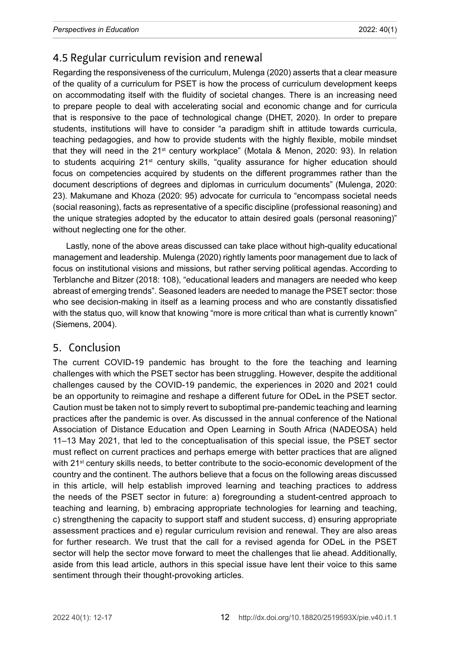# 4.5 Regular curriculum revision and renewal

Regarding the responsiveness of the curriculum, Mulenga (2020) asserts that a clear measure of the quality of a curriculum for PSET is how the process of curriculum development keeps on accommodating itself with the fluidity of societal changes. There is an increasing need to prepare people to deal with accelerating social and economic change and for curricula that is responsive to the pace of technological change (DHET, 2020). In order to prepare students, institutions will have to consider "a paradigm shift in attitude towards curricula, teaching pedagogies, and how to provide students with the highly flexible, mobile mindset that they will need in the 21<sup>st</sup> century workplace" (Motala & Menon, 2020: 93). In relation to students acquiring  $21<sup>st</sup>$  century skills, "quality assurance for higher education should focus on competencies acquired by students on the different programmes rather than the document descriptions of degrees and diplomas in curriculum documents" (Mulenga, 2020: 23). Makumane and Khoza (2020: 95) advocate for curricula to "encompass societal needs (social reasoning), facts as representative of a specific discipline (professional reasoning) and the unique strategies adopted by the educator to attain desired goals (personal reasoning)" without neglecting one for the other.

Lastly, none of the above areas discussed can take place without high-quality educational management and leadership. Mulenga (2020) rightly laments poor management due to lack of focus on institutional visions and missions, but rather serving political agendas. According to Terblanche and Bitzer (2018: 108), "educational leaders and managers are needed who keep abreast of emerging trends". Seasoned leaders are needed to manage the PSET sector: those who see decision-making in itself as a learning process and who are constantly dissatisfied with the status quo, will know that knowing "more is more critical than what is currently known" (Siemens, 2004).

## 5. Conclusion

The current COVID-19 pandemic has brought to the fore the teaching and learning challenges with which the PSET sector has been struggling. However, despite the additional challenges caused by the COVID-19 pandemic, the experiences in 2020 and 2021 could be an opportunity to reimagine and reshape a different future for ODeL in the PSET sector. Caution must be taken not to simply revert to suboptimal pre-pandemic teaching and learning practices after the pandemic is over. As discussed in the annual conference of the National Association of Distance Education and Open Learning in South Africa (NADEOSA) held 11–13 May 2021, that led to the conceptualisation of this special issue, the PSET sector must reflect on current practices and perhaps emerge with better practices that are aligned with 21<sup>st</sup> century skills needs, to better contribute to the socio-economic development of the country and the continent. The authors believe that a focus on the following areas discussed in this article, will help establish improved learning and teaching practices to address the needs of the PSET sector in future: a) foregrounding a student-centred approach to teaching and learning, b) embracing appropriate technologies for learning and teaching, c) strengthening the capacity to support staff and student success, d) ensuring appropriate assessment practices and e) regular curriculum revision and renewal. They are also areas for further research. We trust that the call for a revised agenda for ODeL in the PSET sector will help the sector move forward to meet the challenges that lie ahead. Additionally, aside from this lead article, authors in this special issue have lent their voice to this same sentiment through their thought-provoking articles.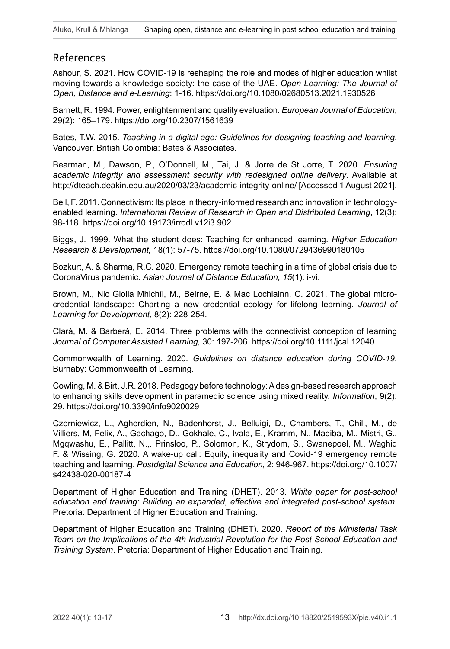## References

Ashour, S. 2021. How COVID-19 is reshaping the role and modes of higher education whilst moving towards a knowledge society: the case of the UAE. *Open Learning: The Journal of Open, Distance and e-Learning*: 1-16. <https://doi.org/10.1080/02680513.2021.1930526>

Barnett, R. 1994. Power, enlightenment and quality evaluation. *European Journal of Education*, 29(2): 165–179. <https://doi.org/10.2307/1561639>

Bates, T.W. 2015. *Teaching in a digital age: Guidelines for designing teaching and learning*. Vancouver, British Colombia: Bates & Associates.

Bearman, M., Dawson, P., O'Donnell, M., Tai, J. & Jorre de St Jorre, T. 2020. *Ensuring academic integrity and assessment security with redesigned online delivery*. Available at <http://dteach.deakin.edu.au/2020/03/23/academic-integrity-online/>[Accessed 1 August 2021].

Bell, F. 2011. Connectivism: Its place in theory-informed research and innovation in technologyenabled learning. *International Review of Research in Open and Distributed Learning*, 12(3): 98-118.<https://doi.org/10.19173/irrodl.v12i3.902>

Biggs, J. 1999. What the student does: Teaching for enhanced learning. *Higher Education Research & Development,* 18(1): 57-75.<https://doi.org/10.1080/0729436990180105>

Bozkurt, A. & Sharma, R.C. 2020. Emergency remote teaching in a time of global crisis due to CoronaVirus pandemic. *Asian Journal of Distance Education, 15*(1): i-vi.

Brown, M., Nic Giolla Mhichíl, M., Beirne, E. & Mac Lochlainn, C. 2021. The global microcredential landscape: Charting a new credential ecology for lifelong learning. *Journal of Learning for Development*, 8(2): 228-254.

Clarà, M. & Barberà, E. 2014. Three problems with the connectivist conception of learning *Journal of Computer Assisted Learning,* 30: 197-206. <https://doi.org/10.1111/jcal.12040>

Commonwealth of Learning. 2020. *Guidelines on distance education during COVID-19*. Burnaby: Commonwealth of Learning.

Cowling, M. & Birt, J.R. 2018. Pedagogy before technology: A design-based research approach to enhancing skills development in paramedic science using mixed reality. *Information*, 9(2): 29. <https://doi.org/10.3390/info9020029>

Czerniewicz, L., Agherdien, N., Badenhorst, J., Belluigi, D., Chambers, T., Chili, M., de Villiers, M, Felix, A., Gachago, D., Gokhale, C., Ivala, E., Kramm, N., Madiba, M., Mistri, G., Mgqwashu, E., Pallitt, N.,. Prinsloo, P., Solomon, K., Strydom, S., Swanepoel, M., Waghid F. & Wissing, G. 2020. A wake-up call: Equity, inequality and Covid-19 emergency remote teaching and learning. *Postdigital Science and Education,* 2: 946-967. [https://doi.org/10.1007/](https://doi.org/10.1007/s42438-020-00187-4) [s42438-020-00187-4](https://doi.org/10.1007/s42438-020-00187-4)

Department of Higher Education and Training (DHET). 2013. *White paper for post-school education and training: Building an expanded, effective and integrated post-school system*. Pretoria: Department of Higher Education and Training.

Department of Higher Education and Training (DHET). 2020. *Report of the Ministerial Task Team on the Implications of the 4th Industrial Revolution for the Post-School Education and Training System*. Pretoria: Department of Higher Education and Training.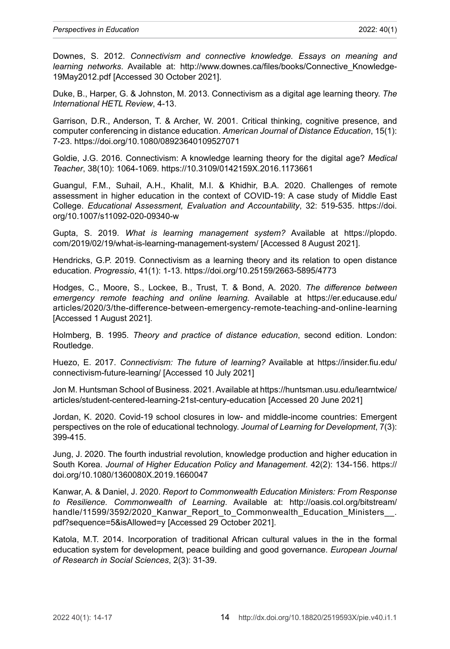Downes, S. 2012. *Connectivism and connective knowledge. Essays on meaning and learning networks*. Available at: [http://www.downes.ca/files/books/Connective\\_Knowledge-](http://www.downes.ca/files/books/Connective_Knowledge-19May2012.pdf)[19May2012.pdf](http://www.downes.ca/files/books/Connective_Knowledge-19May2012.pdf) [Accessed 30 October 2021].

Duke, B., Harper, G. & Johnston, M. 2013. Connectivism as a digital age learning theory. *The International HETL Review*, 4-13.

Garrison, D.R., Anderson, T. & Archer, W. 2001. Critical thinking, cognitive presence, and computer conferencing in distance education. *American Journal of Distance Education*, 15(1): 7-23. <https://doi.org/10.1080/08923640109527071>

Goldie, J.G. 2016. Connectivism: A knowledge learning theory for the digital age? *Medical Teacher*, 38(10): 1064-1069. https://10.3109/0142159X.2016.1173661

Guangul, F.M., Suhail, A.H., Khalit, M.I. & Khidhir, B.A. 2020. Challenges of remote assessment in higher education in the context of COVID-19: A case study of Middle East College. *Educational Assessment, Evaluation and Accountability*, 32: 519-535. [https://doi.](https://doi.org/10.1007/s11092-020-09340-w) [org/10.1007/s11092-020-09340-w](https://doi.org/10.1007/s11092-020-09340-w)

Gupta, S. 2019. *What is learning management system?* Available at [https://plopdo.](https://plopdo.com/2019/02/19/what-is-learning-management-system/) [com/2019/02/19/what-is-learning-management-system/](https://plopdo.com/2019/02/19/what-is-learning-management-system/) [Accessed 8 August 2021].

Hendricks, G.P. 2019. Connectivism as a learning theory and its relation to open distance education. *Progressio*, 41(1): 1-13. <https://doi.org/10.25159/2663-5895/4773>

Hodges, C., Moore, S., Lockee, B., Trust, T. & Bond, A. 2020. *The difference between emergency remote teaching and online learning.* Available at [https://er.educause.edu/](https://er.educause.edu/articles/2020/3/the-difference-between-emergency-remote-teaching-and-online-learning) [articles/2020/3/the-difference-between-emergency-remote-teaching-and-online-learning](https://er.educause.edu/articles/2020/3/the-difference-between-emergency-remote-teaching-and-online-learning) [Accessed 1 August 2021].

Holmberg, B. 1995. *Theory and practice of distance education*, second edition. London: Routledge.

Huezo, E. 2017. *Connectivism: The future of learning?* Available at [https://insider.fiu.edu/](https://insider.fiu.edu/connectivism-future-learning/) [connectivism-future-learning/](https://insider.fiu.edu/connectivism-future-learning/) [Accessed 10 July 2021]

Jon M. Huntsman School of Business. 2021. Available at [https://huntsman.usu.edu/learntwice/](https://huntsman.usu.edu/learntwice/articles/student-centered-learning-21st-century-education) [articles/student-centered-learning-21st-century-education](https://huntsman.usu.edu/learntwice/articles/student-centered-learning-21st-century-education) [Accessed 20 June 2021]

Jordan, K. 2020. Covid-19 school closures in low- and middle-income countries: Emergent perspectives on the role of educational technology. *Journal of Learning for Development*, 7(3): 399-415.

Jung, J. 2020. The fourth industrial revolution, knowledge production and higher education in South Korea. *Journal of Higher Education Policy and Management*. 42(2): 134-156. [https://](https://doi.org/10.1080/1360080X.2019.1660047) [doi.org/10.1080/1360080X.2019.1660047](https://doi.org/10.1080/1360080X.2019.1660047)

Kanwar, A. & Daniel, J. 2020. *Report to Commonwealth Education Ministers: From Response to Resilience. Commonwealth of Learning*. Available at: [http://oasis.col.org/bitstream/](http://oasis.col.org/bitstream/handle/11599/3592/2020_Kanwar_Report_to_Commonwealth_Education_Ministers__.pdf?sequence=5&isAllowed=y) handle/11599/3592/2020 Kanwar Report to Commonwealth Education Ministers . [pdf?sequence=5&isAllowed=y](http://oasis.col.org/bitstream/handle/11599/3592/2020_Kanwar_Report_to_Commonwealth_Education_Ministers__.pdf?sequence=5&isAllowed=y) [Accessed 29 October 2021].

Katola, M.T. 2014. Incorporation of traditional African cultural values in the in the formal education system for development, peace building and good governance. *European Journal of Research in Social Sciences*, 2(3): 31-39.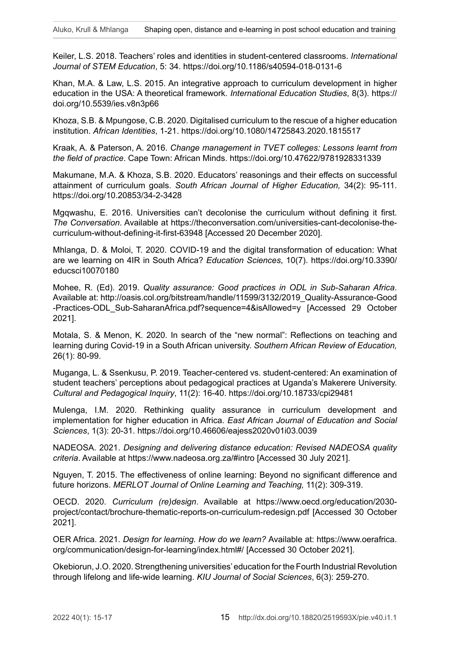Keiler, L.S. 2018. Teachers' roles and identities in student-centered classrooms. *International Journal of STEM Education*, 5: 34.<https://doi.org/10.1186/s40594-018-0131-6>

Khan, M.A. & Law, L.S. 2015. An integrative approach to curriculum development in higher education in the USA: A theoretical framework. *International Education Studies*, 8(3). [https://](https://doi.org/10.5539/ies.v8n3p66) [doi.org/10.5539/ies.v8n3p66](https://doi.org/10.5539/ies.v8n3p66)

Khoza, S.B. & Mpungose, C.B. 2020. Digitalised curriculum to the rescue of a higher education institution. *African Identities*, 1-21.<https://doi.org/10.1080/14725843.2020.1815517>

Kraak, A. & Paterson, A. 2016. *Change management in TVET colleges: Lessons learnt from the field of practice*. Cape Town: African Minds.<https://doi.org/10.47622/9781928331339>

Makumane, M.A. & Khoza, S.B. 2020. Educators' reasonings and their effects on successful attainment of curriculum goals. *South African Journal of Higher Education,* 34(2): 95-111. <https://doi.org/10.20853/34-2-3428>

Mgqwashu, E. 2016. Universities can't decolonise the curriculum without defining it first. *The Conversation*. Available at [https://theconversation.com/universities-cant-decolonise-the](https://theconversation.com/universities-cant-decolonise-the-curriculum-without-defining-it-first-63948)[curriculum-without-defining-it-first-63948](https://theconversation.com/universities-cant-decolonise-the-curriculum-without-defining-it-first-63948) [Accessed 20 December 2020].

Mhlanga, D. & Moloi, T. 2020. COVID-19 and the digital transformation of education: What are we learning on 4IR in South Africa? *Education Sciences*, 10(7). [https://doi.org/10.3390/](https://doi.org/10.3390/educsci10070180) [educsci10070180](https://doi.org/10.3390/educsci10070180)

Mohee, R. (Ed). 2019. *Quality assurance: Good practices in ODL in Sub-Saharan Africa*. Available at: [http://oasis.col.org/bitstream/handle/11599/3132/2019\\_Quality-Assurance-Good](http://oasis.col.org/bitstream/handle/11599/3132/2019_Quality-Assurance-Good-Practices-ODL_Sub-SaharanAfrica.pdf?sequence=4&isAllowed=y) [-Practices-ODL\\_Sub-SaharanAfrica.pdf?sequence=4&isAllowed=y](http://oasis.col.org/bitstream/handle/11599/3132/2019_Quality-Assurance-Good-Practices-ODL_Sub-SaharanAfrica.pdf?sequence=4&isAllowed=y) [Accessed 29 October 2021].

Motala, S. & Menon, K. 2020. In search of the "new normal": Reflections on teaching and learning during Covid-19 in a South African university. *Southern African Review of Education,*  26(1): 80-99.

Muganga, L. & Ssenkusu, P. 2019. Teacher-centered vs. student-centered: An examination of student teachers' perceptions about pedagogical practices at Uganda's Makerere University. *Cultural and Pedagogical Inquiry*, 11(2): 16-40.<https://doi.org/10.18733/cpi29481>

Mulenga, I.M. 2020. Rethinking quality assurance in curriculum development and implementation for higher education in Africa. *East African Journal of Education and Social Sciences*, 1(3): 20-31.<https://doi.org/10.46606/eajess2020v01i03.0039>

NADEOSA. 2021. *Designing and delivering distance education: Revised NADEOSA quality criteria*. Available at https://www.nadeosa.org.za/#intro [Accessed 30 July 2021].

Nguyen, T. 2015. The effectiveness of online learning: Beyond no significant difference and future horizons. *MERLOT Journal of Online Learning and Teaching,* 11(2): 309-319.

OECD. 2020. *Curriculum (re)design*. Available at [https://www.oecd.org/education/2030](https://www.oecd.org/education/2030-project/contact/brochure-thematic-reports-on-curriculum-redesign.pdf) [project/contact/brochure-thematic-reports-on-curriculum-redesign.pdf](https://www.oecd.org/education/2030-project/contact/brochure-thematic-reports-on-curriculum-redesign.pdf) [Accessed 30 October 2021].

OER Africa. 2021. *Design for learning. How do we learn?* Available at: https://www.oerafrica. org/communication/design-for-learning/index.html#/ [Accessed 30 October 2021].

Okebiorun, J.O. 2020. Strengthening universities' education for the Fourth Industrial Revolution through lifelong and life-wide learning. *KIU Journal of Social Sciences*, 6(3): 259-270.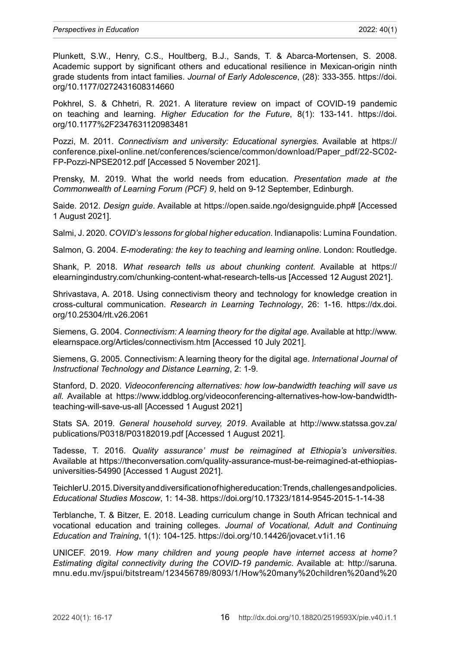Plunkett, S.W., Henry, C.S., Houltberg, B.J., Sands, T. & Abarca-Mortensen, S. 2008. Academic support by significant others and educational resilience in Mexican-origin ninth grade students from intact families. *Journal of Early Adolescence*, (28): 333-355. [https://doi.](https://doi.org/10.1177/0272431608314660) [org/10.1177/0272431608314660](https://doi.org/10.1177/0272431608314660)

Pokhrel, S. & Chhetri, R. 2021. A literature review on impact of COVID-19 pandemic on teaching and learning. *Higher Education for the Future*, 8(1): 133-141. [https://doi.](https://doi.org/10.1177%2F2347631120983481) [org/10.1177%2F2347631120983481](https://doi.org/10.1177%2F2347631120983481) 

Pozzi, M. 2011. *Connectivism and university: Educational synergies.* Available at [https://](https://conference.pixel-online.net/conferences/science/common/download/Paper_pdf/22-SC02-FP-Pozzi-NPSE2012.pdf) [conference.pixel-online.net/conferences/science/common/download/Paper\\_pdf/22-SC02-](https://conference.pixel-online.net/conferences/science/common/download/Paper_pdf/22-SC02-FP-Pozzi-NPSE2012.pdf) [FP-Pozzi-NPSE2012.pdf](https://conference.pixel-online.net/conferences/science/common/download/Paper_pdf/22-SC02-FP-Pozzi-NPSE2012.pdf) [Accessed 5 November 2021].

Prensky, M. 2019. What the world needs from education. *Presentation made at the Commonwealth of Learning Forum (PCF) 9*, held on 9-12 September, Edinburgh.

Saide. 2012. *Design guide*. Available at [https://open.saide.ngo/designguide.php#](https://open.saide.ngo/designguide.php) [Accessed 1 August 2021].

Salmi, J. 2020. *COVID's lessons for global higher education*. Indianapolis: Lumina Foundation.

Salmon, G. 2004. *E-moderating: the key to teaching and learning online*. London: Routledge.

Shank, P. 2018. *What research tells us about chunking content*. Available at [https://](https://elearningindustry.com/chunking-content-what-research-tells-us) [elearningindustry.com/chunking-content-what-research-tells-us](https://elearningindustry.com/chunking-content-what-research-tells-us) [Accessed 12 August 2021].

Shrivastava, A. 2018. Using connectivism theory and technology for knowledge creation in cross-cultural communication. *Research in Learning Technology*, 26: 1-16. [https://dx.doi.](https://dx.doi.org/10.25304/rlt.v26.2061) [org/10.25304/rlt.v26.2061](https://dx.doi.org/10.25304/rlt.v26.2061)

Siemens, G. 2004. *Connectivism: A learning theory for the digital age.* Available at [http://www.](http://www.elearnspace.org/Articles/connectivism.htm) [elearnspace.org/Articles/connectivism.htm](http://www.elearnspace.org/Articles/connectivism.htm) [Accessed 10 July 2021].

Siemens, G. 2005. Connectivism: A learning theory for the digital age. *International Journal of Instructional Technology and Distance Learning*, 2: 1-9.

Stanford, D. 2020. *Videoconferencing alternatives: how low-bandwidth teaching will save us all.* Available at [https://www.iddblog.org/videoconferencing-alternatives-how-low-bandwidth](https://www.iddblog.org/videoconferencing-alternatives-how-low-bandwidth-teaching-will-save-us-all)[teaching-will-save-us-all](https://www.iddblog.org/videoconferencing-alternatives-how-low-bandwidth-teaching-will-save-us-all) [Accessed 1 August 2021]

Stats SA. 2019. *General household survey, 2019*. Available at [http://www.statssa.gov.za/](http://www.statssa.gov.za/publications/P0318/P03182019.pdf) [publications/P0318/P03182019.pdf](http://www.statssa.gov.za/publications/P0318/P03182019.pdf) [Accessed 1 August 2021].

Tadesse, T. 2016. *Quality assurance' must be reimagined at Ethiopia's universities*. Available at [https://theconversation.com/quality-assurance-must-be-reimagined-at-ethiopias](https://theconversation.com/quality-assurance-must-be-reimagined-at-ethiopias-universities-54990)[universities-54990](https://theconversation.com/quality-assurance-must-be-reimagined-at-ethiopias-universities-54990) [Accessed 1 August 2021].

Teichler U. 2015. Diversity and diversification of higher education: Trends, challenges and policies. *Educational Studies Moscow*, 1: 14-38. <https://doi.org/10.17323/1814-9545-2015-1-14-38>

Terblanche, T. & Bitzer, E. 2018. Leading curriculum change in South African technical and vocational education and training colleges. *Journal of Vocational, Adult and Continuing Education and Training*, 1(1): 104-125. <https://doi.org/10.14426/jovacet.v1i1.16>

UNICEF. 2019. *How many children and young people have internet access at home? Estimating digital connectivity during the COVID-19 pandemic*. Available at: [http://saruna.](http://saruna.mnu.edu.mv/jspui/bitstream/123456789/8093/1/How%20many%20children%20and%20young%20people%20have%20internet%20access%20at%20home%3F%20%3A%20estimating%20digital%20connectivity%20during%20the%20COVID-19%20pandemic.pdf) [mnu.edu.mv/jspui/bitstream/123456789/8093/1/How%20many%20children%20and%20](http://saruna.mnu.edu.mv/jspui/bitstream/123456789/8093/1/How%20many%20children%20and%20young%20people%20have%20internet%20access%20at%20home%3F%20%3A%20estimating%20digital%20connectivity%20during%20the%20COVID-19%20pandemic.pdf)